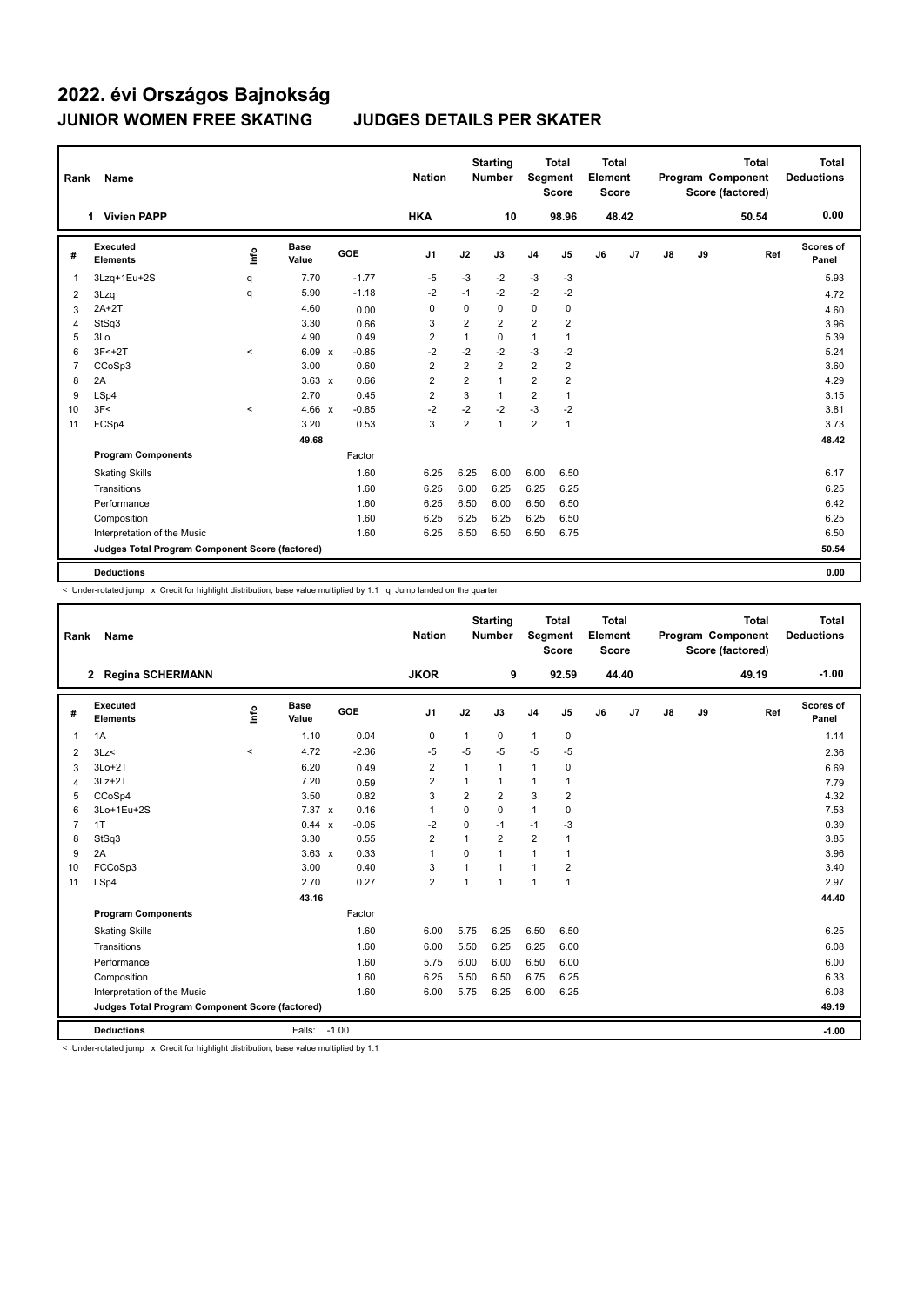| Rank           | Name                                            |         |                      |         | <b>Nation</b>  |                | <b>Starting</b><br>Number | Segment        | <b>Total</b><br><b>Score</b> | <b>Total</b><br>Element<br>Score |       |    |    | <b>Total</b><br>Program Component<br>Score (factored) | Total<br><b>Deductions</b> |
|----------------|-------------------------------------------------|---------|----------------------|---------|----------------|----------------|---------------------------|----------------|------------------------------|----------------------------------|-------|----|----|-------------------------------------------------------|----------------------------|
|                | 1 Vivien PAPP                                   |         |                      |         | <b>HKA</b>     |                | 10                        |                | 98.96                        |                                  | 48.42 |    |    | 50.54                                                 | 0.00                       |
| #              | Executed<br><b>Elements</b>                     | lnfo    | <b>Base</b><br>Value | GOE     | J <sub>1</sub> | J2             | J3                        | J <sub>4</sub> | J <sub>5</sub>               | J6                               | J7    | J8 | J9 | Ref                                                   | Scores of<br>Panel         |
| 1              | 3Lzq+1Eu+2S                                     | q       | 7.70                 | $-1.77$ | $-5$           | $-3$           | $-2$                      | $-3$           | $-3$                         |                                  |       |    |    |                                                       | 5.93                       |
| 2              | 3Lzq                                            | q       | 5.90                 | $-1.18$ | $-2$           | $-1$           | $-2$                      | $-2$           | $-2$                         |                                  |       |    |    |                                                       | 4.72                       |
| 3              | $2A+2T$                                         |         | 4.60                 | 0.00    | 0              | 0              | 0                         | 0              | 0                            |                                  |       |    |    |                                                       | 4.60                       |
| $\overline{4}$ | StSq3                                           |         | 3.30                 | 0.66    | 3              | 2              | $\overline{2}$            | 2              | $\overline{2}$               |                                  |       |    |    |                                                       | 3.96                       |
| 5              | 3Lo                                             |         | 4.90                 | 0.49    | 2              | 1              | 0                         | $\mathbf{1}$   | 1                            |                                  |       |    |    |                                                       | 5.39                       |
| 6              | $3F < +2T$                                      | $\,<$   | 6.09 x               | $-0.85$ | $-2$           | $-2$           | $-2$                      | $-3$           | $-2$                         |                                  |       |    |    |                                                       | 5.24                       |
| $\overline{7}$ | CCoSp3                                          |         | 3.00                 | 0.60    | 2              | $\overline{2}$ | $\overline{2}$            | $\overline{2}$ | $\overline{2}$               |                                  |       |    |    |                                                       | 3.60                       |
| 8              | 2A                                              |         | $3.63 \times$        | 0.66    | 2              | 2              | $\mathbf{1}$              | $\overline{2}$ | 2                            |                                  |       |    |    |                                                       | 4.29                       |
| 9              | LSp4                                            |         | 2.70                 | 0.45    | $\overline{2}$ | 3              | $\mathbf{1}$              | 2              | $\mathbf{1}$                 |                                  |       |    |    |                                                       | 3.15                       |
| 10             | 3F<                                             | $\prec$ | $4.66 \times$        | $-0.85$ | $-2$           | $-2$           | $-2$                      | $-3$           | $-2$                         |                                  |       |    |    |                                                       | 3.81                       |
| 11             | FCSp4                                           |         | 3.20                 | 0.53    | 3              | $\overline{2}$ | $\mathbf{1}$              | $\overline{2}$ | $\mathbf{1}$                 |                                  |       |    |    |                                                       | 3.73                       |
|                |                                                 |         | 49.68                |         |                |                |                           |                |                              |                                  |       |    |    |                                                       | 48.42                      |
|                | <b>Program Components</b>                       |         |                      | Factor  |                |                |                           |                |                              |                                  |       |    |    |                                                       |                            |
|                | <b>Skating Skills</b>                           |         |                      | 1.60    | 6.25           | 6.25           | 6.00                      | 6.00           | 6.50                         |                                  |       |    |    |                                                       | 6.17                       |
|                | Transitions                                     |         |                      | 1.60    | 6.25           | 6.00           | 6.25                      | 6.25           | 6.25                         |                                  |       |    |    |                                                       | 6.25                       |
|                | Performance                                     |         |                      | 1.60    | 6.25           | 6.50           | 6.00                      | 6.50           | 6.50                         |                                  |       |    |    |                                                       | 6.42                       |
|                | Composition                                     |         |                      | 1.60    | 6.25           | 6.25           | 6.25                      | 6.25           | 6.50                         |                                  |       |    |    |                                                       | 6.25                       |
|                | Interpretation of the Music                     |         |                      | 1.60    | 6.25           | 6.50           | 6.50                      | 6.50           | 6.75                         |                                  |       |    |    |                                                       | 6.50                       |
|                | Judges Total Program Component Score (factored) |         |                      |         |                |                |                           |                |                              |                                  |       |    |    |                                                       | 50.54                      |
|                | <b>Deductions</b>                               |         |                      |         |                |                |                           |                |                              |                                  |       |    |    |                                                       | 0.00                       |

< Under-rotated jump x Credit for highlight distribution, base value multiplied by 1.1 q Jump landed on the quarter

| Rank           | <b>Name</b>                                     |       |                      |                         | <b>Nation</b>  |                | <b>Starting</b><br><b>Number</b> | Segment        | <b>Total</b><br><b>Score</b> | Total<br>Element<br><b>Score</b> |       |    |    | <b>Total</b><br>Program Component<br>Score (factored) | Total<br><b>Deductions</b> |
|----------------|-------------------------------------------------|-------|----------------------|-------------------------|----------------|----------------|----------------------------------|----------------|------------------------------|----------------------------------|-------|----|----|-------------------------------------------------------|----------------------------|
|                | <b>Regina SCHERMANN</b><br>2                    |       |                      |                         | <b>JKOR</b>    |                | 9                                |                | 92.59                        |                                  | 44.40 |    |    | 49.19                                                 | $-1.00$                    |
| #              | Executed<br><b>Elements</b>                     | lnfo  | <b>Base</b><br>Value | <b>GOE</b>              | J <sub>1</sub> | J2             | J3                               | J <sub>4</sub> | J <sub>5</sub>               | J6                               | J7    | J8 | J9 | Ref                                                   | Scores of<br>Panel         |
| $\mathbf{1}$   | 1A                                              |       | 1.10                 | 0.04                    | 0              | $\mathbf{1}$   | 0                                | $\mathbf{1}$   | $\mathbf 0$                  |                                  |       |    |    |                                                       | 1.14                       |
| 2              | 3Lz<                                            | $\,<$ | 4.72                 | $-2.36$                 | -5             | $-5$           | $-5$                             | $-5$           | $-5$                         |                                  |       |    |    |                                                       | 2.36                       |
| 3              | $3Lo+2T$                                        |       | 6.20                 | 0.49                    | 2              | $\mathbf{1}$   | $\mathbf{1}$                     | $\mathbf{1}$   | 0                            |                                  |       |    |    |                                                       | 6.69                       |
| $\overline{4}$ | $3Lz + 2T$                                      |       | 7.20                 | 0.59                    | 2              | 1              | 1                                | $\mathbf{1}$   | 1                            |                                  |       |    |    |                                                       | 7.79                       |
| 5              | CCoSp4                                          |       | 3.50                 | 0.82                    | 3              | $\overline{2}$ | $\overline{2}$                   | 3              | 2                            |                                  |       |    |    |                                                       | 4.32                       |
| 6              | 3Lo+1Eu+2S                                      |       | $7.37 \times$        | 0.16                    | 1              | $\Omega$       | $\Omega$                         | $\mathbf{1}$   | $\mathbf 0$                  |                                  |       |    |    |                                                       | 7.53                       |
| $\overline{7}$ | 1T                                              |       | 0.44                 | $-0.05$<br>$\mathsf{x}$ | -2             | $\Omega$       | $-1$                             | $-1$           | $-3$                         |                                  |       |    |    |                                                       | 0.39                       |
| 8              | StSq3                                           |       | 3.30                 | 0.55                    | 2              | $\mathbf{1}$   | $\overline{2}$                   | $\overline{2}$ | 1                            |                                  |       |    |    |                                                       | 3.85                       |
| 9              | 2A                                              |       | $3.63 \times$        | 0.33                    | 1              | $\Omega$       | 1                                | $\mathbf{1}$   | 1                            |                                  |       |    |    |                                                       | 3.96                       |
| 10             | FCCoSp3                                         |       | 3.00                 | 0.40                    | 3              |                | $\mathbf{1}$                     | $\overline{1}$ | $\overline{2}$               |                                  |       |    |    |                                                       | 3.40                       |
| 11             | LSp4                                            |       | 2.70                 | 0.27                    | $\overline{2}$ | $\overline{1}$ | $\mathbf{1}$                     | $\overline{1}$ | 1                            |                                  |       |    |    |                                                       | 2.97                       |
|                |                                                 |       | 43.16                |                         |                |                |                                  |                |                              |                                  |       |    |    |                                                       | 44.40                      |
|                | <b>Program Components</b>                       |       |                      | Factor                  |                |                |                                  |                |                              |                                  |       |    |    |                                                       |                            |
|                | <b>Skating Skills</b>                           |       |                      | 1.60                    | 6.00           | 5.75           | 6.25                             | 6.50           | 6.50                         |                                  |       |    |    |                                                       | 6.25                       |
|                | Transitions                                     |       |                      | 1.60                    | 6.00           | 5.50           | 6.25                             | 6.25           | 6.00                         |                                  |       |    |    |                                                       | 6.08                       |
|                | Performance                                     |       |                      | 1.60                    | 5.75           | 6.00           | 6.00                             | 6.50           | 6.00                         |                                  |       |    |    |                                                       | 6.00                       |
|                | Composition                                     |       |                      | 1.60                    | 6.25           | 5.50           | 6.50                             | 6.75           | 6.25                         |                                  |       |    |    |                                                       | 6.33                       |
|                | Interpretation of the Music                     |       |                      | 1.60                    | 6.00           | 5.75           | 6.25                             | 6.00           | 6.25                         |                                  |       |    |    |                                                       | 6.08                       |
|                | Judges Total Program Component Score (factored) |       |                      |                         |                |                |                                  |                |                              |                                  |       |    |    |                                                       | 49.19                      |
|                | <b>Deductions</b>                               |       | Falls: -1.00         |                         |                |                |                                  |                |                              |                                  |       |    |    |                                                       | $-1.00$                    |

< Under-rotated jump x Credit for highlight distribution, base value multiplied by 1.1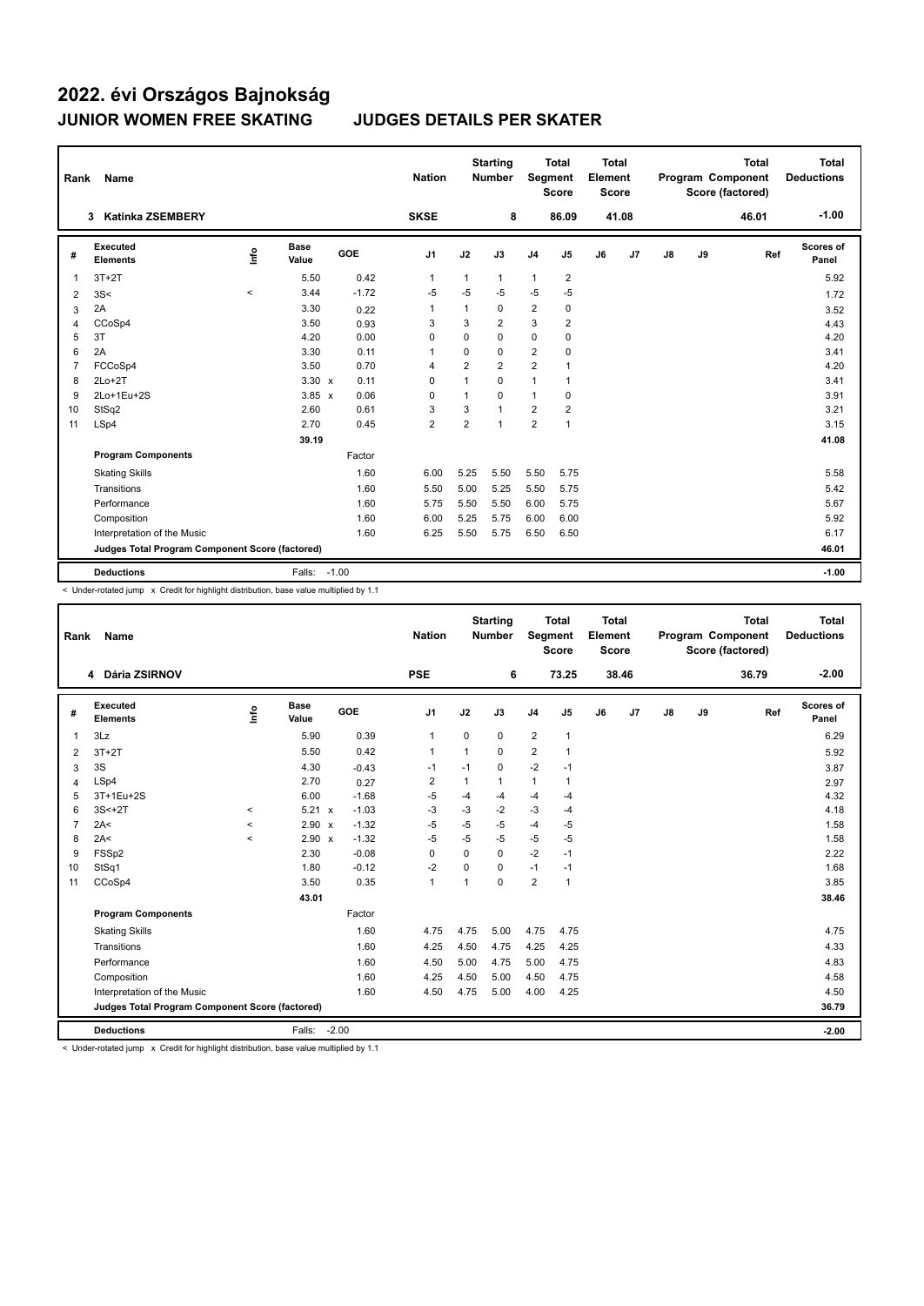| Rank           | Name                                            |       |                      |         | <b>Nation</b>  |                | <b>Starting</b><br><b>Number</b> | <b>Segment</b> | <b>Total</b><br><b>Score</b> | <b>Total</b><br>Element<br><b>Score</b> |                |               |    | <b>Total</b><br>Program Component<br>Score (factored) | <b>Total</b><br><b>Deductions</b> |
|----------------|-------------------------------------------------|-------|----------------------|---------|----------------|----------------|----------------------------------|----------------|------------------------------|-----------------------------------------|----------------|---------------|----|-------------------------------------------------------|-----------------------------------|
|                | <b>Katinka ZSEMBERY</b><br>3                    |       |                      |         | <b>SKSE</b>    |                | 8                                |                | 86.09                        |                                         | 41.08          |               |    | 46.01                                                 | $-1.00$                           |
| #              | Executed<br><b>Elements</b>                     | lnfo  | <b>Base</b><br>Value | GOE     | J1             | J2             | J3                               | J <sub>4</sub> | J5                           | J6                                      | J <sub>7</sub> | $\mathsf{J}8$ | J9 | Ref                                                   | Scores of<br>Panel                |
| 1              | $3T+2T$                                         |       | 5.50                 | 0.42    | $\overline{1}$ | $\mathbf{1}$   | $\mathbf{1}$                     | $\mathbf{1}$   | $\overline{2}$               |                                         |                |               |    |                                                       | 5.92                              |
| 2              | 3S<                                             | $\,<$ | 3.44                 | $-1.72$ | $-5$           | $-5$           | $-5$                             | $-5$           | $-5$                         |                                         |                |               |    |                                                       | 1.72                              |
| 3              | 2A                                              |       | 3.30                 | 0.22    | $\mathbf{1}$   | 1              | 0                                | $\overline{2}$ | $\mathbf 0$                  |                                         |                |               |    |                                                       | 3.52                              |
| 4              | CCoSp4                                          |       | 3.50                 | 0.93    | 3              | 3              | $\overline{2}$                   | 3              | $\overline{2}$               |                                         |                |               |    |                                                       | 4.43                              |
| 5              | 3T                                              |       | 4.20                 | 0.00    | 0              | 0              | $\Omega$                         | $\mathbf 0$    | $\mathbf 0$                  |                                         |                |               |    |                                                       | 4.20                              |
| 6              | 2A                                              |       | 3.30                 | 0.11    | 1              | $\mathbf 0$    | 0                                | $\overline{2}$ | 0                            |                                         |                |               |    |                                                       | 3.41                              |
| $\overline{7}$ | FCCoSp4                                         |       | 3.50                 | 0.70    | $\overline{4}$ | $\overline{2}$ | $\overline{2}$                   | $\overline{2}$ | 1                            |                                         |                |               |    |                                                       | 4.20                              |
| 8              | $2Lo+2T$                                        |       | $3.30 \times$        | 0.11    | 0              | $\mathbf{1}$   | $\Omega$                         | 1              | 1                            |                                         |                |               |    |                                                       | 3.41                              |
| 9              | 2Lo+1Eu+2S                                      |       | $3.85 \times$        | 0.06    | 0              | 1              | $\Omega$                         | 1              | 0                            |                                         |                |               |    |                                                       | 3.91                              |
| 10             | StSq2                                           |       | 2.60                 | 0.61    | 3              | 3              | $\mathbf{1}$                     | $\overline{2}$ | 2                            |                                         |                |               |    |                                                       | 3.21                              |
| 11             | LSp4                                            |       | 2.70                 | 0.45    | $\overline{2}$ | $\overline{2}$ | $\mathbf{1}$                     | $\overline{2}$ | 1                            |                                         |                |               |    |                                                       | 3.15                              |
|                |                                                 |       | 39.19                |         |                |                |                                  |                |                              |                                         |                |               |    |                                                       | 41.08                             |
|                | <b>Program Components</b>                       |       |                      | Factor  |                |                |                                  |                |                              |                                         |                |               |    |                                                       |                                   |
|                | <b>Skating Skills</b>                           |       |                      | 1.60    | 6.00           | 5.25           | 5.50                             | 5.50           | 5.75                         |                                         |                |               |    |                                                       | 5.58                              |
|                | Transitions                                     |       |                      | 1.60    | 5.50           | 5.00           | 5.25                             | 5.50           | 5.75                         |                                         |                |               |    |                                                       | 5.42                              |
|                | Performance                                     |       |                      | 1.60    | 5.75           | 5.50           | 5.50                             | 6.00           | 5.75                         |                                         |                |               |    |                                                       | 5.67                              |
|                | Composition                                     |       |                      | 1.60    | 6.00           | 5.25           | 5.75                             | 6.00           | 6.00                         |                                         |                |               |    |                                                       | 5.92                              |
|                | Interpretation of the Music                     |       |                      | 1.60    | 6.25           | 5.50           | 5.75                             | 6.50           | 6.50                         |                                         |                |               |    |                                                       | 6.17                              |
|                | Judges Total Program Component Score (factored) |       |                      |         |                |                |                                  |                |                              |                                         |                |               |    |                                                       | 46.01                             |
|                | <b>Deductions</b>                               |       | Falls: -1.00         |         |                |                |                                  |                |                              |                                         |                |               |    |                                                       | $-1.00$                           |

< Under-rotated jump x Credit for highlight distribution, base value multiplied by 1.1

| Rank           | <b>Name</b>                                     |         |                      |         | <b>Nation</b>  |             | <b>Starting</b><br><b>Number</b> | Segment        | <b>Total</b><br><b>Score</b> | <b>Total</b><br>Element<br><b>Score</b> |       |               |    | <b>Total</b><br>Program Component<br>Score (factored) | <b>Total</b><br><b>Deductions</b> |
|----------------|-------------------------------------------------|---------|----------------------|---------|----------------|-------------|----------------------------------|----------------|------------------------------|-----------------------------------------|-------|---------------|----|-------------------------------------------------------|-----------------------------------|
|                | 4 Dária ZSIRNOV                                 |         |                      |         | <b>PSE</b>     |             | 6                                |                | 73.25                        |                                         | 38.46 |               |    | 36.79                                                 | $-2.00$                           |
| #              | <b>Executed</b><br><b>Elements</b>              | Info    | <b>Base</b><br>Value | GOE     | J <sub>1</sub> | J2          | J3                               | J <sub>4</sub> | J5                           | J6                                      | J7    | $\mathsf{J}8$ | J9 | Ref                                                   | Scores of<br>Panel                |
| $\overline{1}$ | 3Lz                                             |         | 5.90                 | 0.39    | $\mathbf{1}$   | $\mathbf 0$ | 0                                | $\overline{2}$ | 1                            |                                         |       |               |    |                                                       | 6.29                              |
| 2              | $3T+2T$                                         |         | 5.50                 | 0.42    | $\mathbf{1}$   | $\mathbf 1$ | $\Omega$                         | $\overline{2}$ | 1                            |                                         |       |               |    |                                                       | 5.92                              |
| 3              | 3S                                              |         | 4.30                 | $-0.43$ | $-1$           | $-1$        | 0                                | $-2$           | $-1$                         |                                         |       |               |    |                                                       | 3.87                              |
| $\overline{4}$ | LSp4                                            |         | 2.70                 | 0.27    | $\overline{2}$ | 1           | 1                                | $\mathbf{1}$   | 1                            |                                         |       |               |    |                                                       | 2.97                              |
| 5              | 3T+1Eu+2S                                       |         | 6.00                 | $-1.68$ | -5             | $-4$        | $-4$                             | $-4$           | $-4$                         |                                         |       |               |    |                                                       | 4.32                              |
| 6              | $3S<+2T$                                        | $\prec$ | $5.21 \times$        | $-1.03$ | -3             | $-3$        | $-2$                             | $-3$           | $-4$                         |                                         |       |               |    |                                                       | 4.18                              |
| $\overline{7}$ | 2A<                                             | $\,<$   | 2.90 x               | $-1.32$ | -5             | -5          | $-5$                             | $-4$           | -5                           |                                         |       |               |    |                                                       | 1.58                              |
| 8              | 2A<                                             | $\,<$   | $2.90 \times$        | $-1.32$ | -5             | $-5$        | $-5$                             | -5             | $-5$                         |                                         |       |               |    |                                                       | 1.58                              |
| 9              | FSSp2                                           |         | 2.30                 | $-0.08$ | 0              | $\Omega$    | $\Omega$                         | $-2$           | $-1$                         |                                         |       |               |    |                                                       | 2.22                              |
| 10             | StSq1                                           |         | 1.80                 | $-0.12$ | $-2$           | 0           | 0                                | $-1$           | $-1$                         |                                         |       |               |    |                                                       | 1.68                              |
| 11             | CCoSp4                                          |         | 3.50                 | 0.35    | $\mathbf{1}$   |             | 0                                | $\overline{2}$ | 1                            |                                         |       |               |    |                                                       | 3.85                              |
|                |                                                 |         | 43.01                |         |                |             |                                  |                |                              |                                         |       |               |    |                                                       | 38.46                             |
|                | <b>Program Components</b>                       |         |                      | Factor  |                |             |                                  |                |                              |                                         |       |               |    |                                                       |                                   |
|                | <b>Skating Skills</b>                           |         |                      | 1.60    | 4.75           | 4.75        | 5.00                             | 4.75           | 4.75                         |                                         |       |               |    |                                                       | 4.75                              |
|                | Transitions                                     |         |                      | 1.60    | 4.25           | 4.50        | 4.75                             | 4.25           | 4.25                         |                                         |       |               |    |                                                       | 4.33                              |
|                | Performance                                     |         |                      | 1.60    | 4.50           | 5.00        | 4.75                             | 5.00           | 4.75                         |                                         |       |               |    |                                                       | 4.83                              |
|                | Composition                                     |         |                      | 1.60    | 4.25           | 4.50        | 5.00                             | 4.50           | 4.75                         |                                         |       |               |    |                                                       | 4.58                              |
|                | Interpretation of the Music                     |         |                      | 1.60    | 4.50           | 4.75        | 5.00                             | 4.00           | 4.25                         |                                         |       |               |    |                                                       | 4.50                              |
|                | Judges Total Program Component Score (factored) |         |                      |         |                |             |                                  |                |                              |                                         |       |               |    |                                                       | 36.79                             |
|                | <b>Deductions</b>                               |         | Falls:               | $-2.00$ |                |             |                                  |                |                              |                                         |       |               |    |                                                       | $-2.00$                           |

< Under-rotated jump x Credit for highlight distribution, base value multiplied by 1.1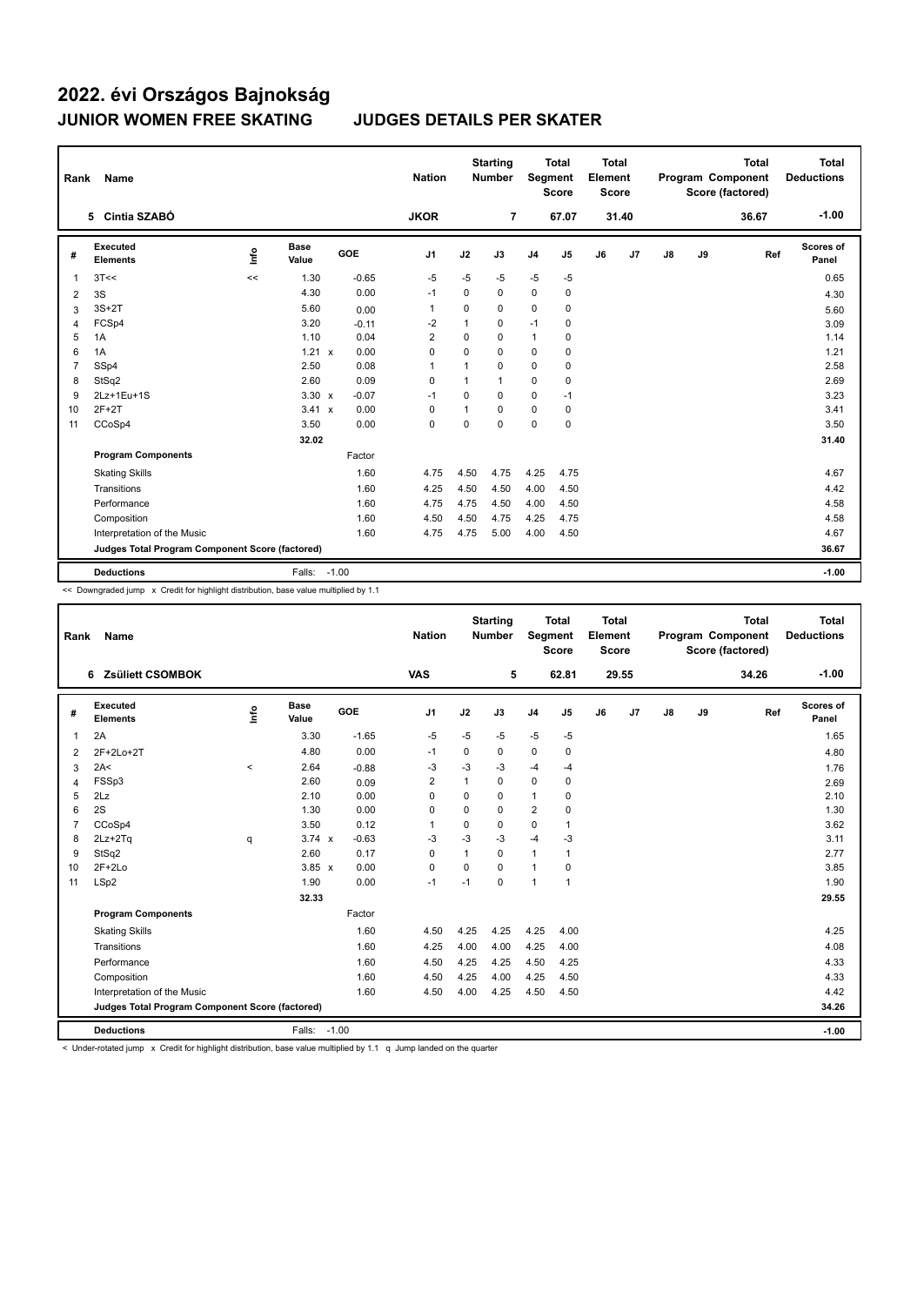| Rank           | Name                                            |      |                      |         |            | <b>Nation</b>  |              | <b>Starting</b><br><b>Number</b> |                | <b>Total</b><br>Segment<br><b>Score</b> | <b>Total</b><br>Element<br><b>Score</b> |       |               |    | <b>Total</b><br>Program Component<br>Score (factored) | <b>Total</b><br><b>Deductions</b> |
|----------------|-------------------------------------------------|------|----------------------|---------|------------|----------------|--------------|----------------------------------|----------------|-----------------------------------------|-----------------------------------------|-------|---------------|----|-------------------------------------------------------|-----------------------------------|
|                | 5 Cintia SZABÓ                                  |      |                      |         |            | <b>JKOR</b>    |              | $\overline{7}$                   |                | 67.07                                   |                                         | 31.40 |               |    | 36.67                                                 | $-1.00$                           |
| #              | <b>Executed</b><br><b>Elements</b>              | ١nf٥ | <b>Base</b><br>Value |         | <b>GOE</b> | J <sub>1</sub> | J2           | J3                               | J <sub>4</sub> | J5                                      | J6                                      | J7    | $\mathsf{J}8$ | J9 | Ref                                                   | Scores of<br>Panel                |
| 1              | 3T<<                                            | <<   | 1.30                 |         | $-0.65$    | $-5$           | $-5$         | -5                               | $-5$           | -5                                      |                                         |       |               |    |                                                       | 0.65                              |
| 2              | 3S                                              |      | 4.30                 |         | 0.00       | $-1$           | $\Omega$     | $\Omega$                         | $\Omega$       | $\mathbf 0$                             |                                         |       |               |    |                                                       | 4.30                              |
| 3              | $3S+2T$                                         |      | 5.60                 |         | 0.00       | $\overline{1}$ | 0            | 0                                | 0              | $\mathbf 0$                             |                                         |       |               |    |                                                       | 5.60                              |
| $\overline{4}$ | FCSp4                                           |      | 3.20                 |         | $-0.11$    | $-2$           | 1            | 0                                | $-1$           | 0                                       |                                         |       |               |    |                                                       | 3.09                              |
| 5              | 1A                                              |      | 1.10                 |         | 0.04       | $\overline{2}$ | 0            | 0                                | 1              | 0                                       |                                         |       |               |    |                                                       | 1.14                              |
| 6              | 1A                                              |      | $1.21 \times$        |         | 0.00       | $\Omega$       | $\Omega$     | $\Omega$                         | 0              | 0                                       |                                         |       |               |    |                                                       | 1.21                              |
| $\overline{7}$ | SSp4                                            |      | 2.50                 |         | 0.08       | $\overline{1}$ | 1            | 0                                | 0              | $\mathbf 0$                             |                                         |       |               |    |                                                       | 2.58                              |
| 8              | StSq2                                           |      | 2.60                 |         | 0.09       | 0              | $\mathbf{1}$ | $\mathbf{1}$                     | 0              | 0                                       |                                         |       |               |    |                                                       | 2.69                              |
| 9              | 2Lz+1Eu+1S                                      |      | $3.30 \times$        |         | $-0.07$    | $-1$           | 0            | $\Omega$                         | 0              | $-1$                                    |                                         |       |               |    |                                                       | 3.23                              |
| 10             | $2F+2T$                                         |      | 3.41 x               |         | 0.00       | 0              | $\mathbf{1}$ | $\Omega$                         | 0              | 0                                       |                                         |       |               |    |                                                       | 3.41                              |
| 11             | CCoSp4                                          |      | 3.50                 |         | 0.00       | $\mathbf 0$    | $\mathbf 0$  | $\mathbf 0$                      | 0              | $\mathbf 0$                             |                                         |       |               |    |                                                       | 3.50                              |
|                |                                                 |      | 32.02                |         |            |                |              |                                  |                |                                         |                                         |       |               |    |                                                       | 31.40                             |
|                | <b>Program Components</b>                       |      |                      |         | Factor     |                |              |                                  |                |                                         |                                         |       |               |    |                                                       |                                   |
|                | <b>Skating Skills</b>                           |      |                      |         | 1.60       | 4.75           | 4.50         | 4.75                             | 4.25           | 4.75                                    |                                         |       |               |    |                                                       | 4.67                              |
|                | Transitions                                     |      |                      |         | 1.60       | 4.25           | 4.50         | 4.50                             | 4.00           | 4.50                                    |                                         |       |               |    |                                                       | 4.42                              |
|                | Performance                                     |      |                      |         | 1.60       | 4.75           | 4.75         | 4.50                             | 4.00           | 4.50                                    |                                         |       |               |    |                                                       | 4.58                              |
|                | Composition                                     |      |                      |         | 1.60       | 4.50           | 4.50         | 4.75                             | 4.25           | 4.75                                    |                                         |       |               |    |                                                       | 4.58                              |
|                | Interpretation of the Music                     |      |                      |         | 1.60       | 4.75           | 4.75         | 5.00                             | 4.00           | 4.50                                    |                                         |       |               |    |                                                       | 4.67                              |
|                | Judges Total Program Component Score (factored) |      |                      |         |            |                |              |                                  |                |                                         |                                         |       |               |    |                                                       | 36.67                             |
|                | <b>Deductions</b>                               |      | Falls:               | $-1.00$ |            |                |              |                                  |                |                                         |                                         |       |               |    |                                                       | $-1.00$                           |

<< Downgraded jump x Credit for highlight distribution, base value multiplied by 1.1

| Rank           | Name                                            |         |                      |         | <b>Nation</b>  |              | <b>Starting</b><br><b>Number</b> | <b>Segment</b> | <b>Total</b><br><b>Score</b> | <b>Total</b><br>Element<br><b>Score</b> |       |    |    | <b>Total</b><br>Program Component<br>Score (factored) | <b>Total</b><br><b>Deductions</b> |
|----------------|-------------------------------------------------|---------|----------------------|---------|----------------|--------------|----------------------------------|----------------|------------------------------|-----------------------------------------|-------|----|----|-------------------------------------------------------|-----------------------------------|
|                | 6 Zsüliett CSOMBOK                              |         |                      |         | <b>VAS</b>     |              | 5                                |                | 62.81                        |                                         | 29.55 |    |    | 34.26                                                 | $-1.00$                           |
| #              | Executed<br><b>Elements</b>                     | Lnfo    | <b>Base</b><br>Value | GOE     | J <sub>1</sub> | J2           | J3                               | J <sub>4</sub> | J5                           | J6                                      | J7    | J8 | J9 | Ref                                                   | Scores of<br>Panel                |
| 1              | 2A                                              |         | 3.30                 | $-1.65$ | $-5$           | $-5$         | $-5$                             | $-5$           | $-5$                         |                                         |       |    |    |                                                       | 1.65                              |
| 2              | 2F+2Lo+2T                                       |         | 4.80                 | 0.00    | $-1$           | 0            | 0                                | 0              | 0                            |                                         |       |    |    |                                                       | 4.80                              |
| 3              | 2A<                                             | $\prec$ | 2.64                 | $-0.88$ | $-3$           | $-3$         | $-3$                             | $-4$           | $-4$                         |                                         |       |    |    |                                                       | 1.76                              |
| 4              | FSSp3                                           |         | 2.60                 | 0.09    | 2              | $\mathbf{1}$ | 0                                | $\mathbf 0$    | 0                            |                                         |       |    |    |                                                       | 2.69                              |
| 5              | 2Lz                                             |         | 2.10                 | 0.00    | $\mathbf 0$    | $\mathbf 0$  | 0                                | $\mathbf{1}$   | 0                            |                                         |       |    |    |                                                       | 2.10                              |
| 6              | 2S                                              |         | 1.30                 | 0.00    | $\Omega$       | $\Omega$     | $\Omega$                         | $\overline{2}$ | $\Omega$                     |                                         |       |    |    |                                                       | 1.30                              |
| $\overline{7}$ | CCoSp4                                          |         | 3.50                 | 0.12    | $\mathbf{1}$   | $\Omega$     | 0                                | $\mathbf 0$    | $\mathbf{1}$                 |                                         |       |    |    |                                                       | 3.62                              |
| 8              | $2Lz + 2Tq$                                     | q       | $3.74 \times$        | $-0.63$ | -3             | $-3$         | $-3$                             | $-4$           | $-3$                         |                                         |       |    |    |                                                       | 3.11                              |
| 9              | StSq2                                           |         | 2.60                 | 0.17    | 0              | 1            | 0                                | $\mathbf{1}$   | 1                            |                                         |       |    |    |                                                       | 2.77                              |
| 10             | $2F+2Lo$                                        |         | $3.85 \times$        | 0.00    | $\Omega$       | $\Omega$     | $\Omega$                         | $\mathbf{1}$   | $\Omega$                     |                                         |       |    |    |                                                       | 3.85                              |
| 11             | LSp2                                            |         | 1.90                 | 0.00    | $-1$           | $-1$         | 0                                | $\overline{1}$ | $\mathbf 1$                  |                                         |       |    |    |                                                       | 1.90                              |
|                |                                                 |         | 32.33                |         |                |              |                                  |                |                              |                                         |       |    |    |                                                       | 29.55                             |
|                | <b>Program Components</b>                       |         |                      | Factor  |                |              |                                  |                |                              |                                         |       |    |    |                                                       |                                   |
|                | <b>Skating Skills</b>                           |         |                      | 1.60    | 4.50           | 4.25         | 4.25                             | 4.25           | 4.00                         |                                         |       |    |    |                                                       | 4.25                              |
|                | Transitions                                     |         |                      | 1.60    | 4.25           | 4.00         | 4.00                             | 4.25           | 4.00                         |                                         |       |    |    |                                                       | 4.08                              |
|                | Performance                                     |         |                      | 1.60    | 4.50           | 4.25         | 4.25                             | 4.50           | 4.25                         |                                         |       |    |    |                                                       | 4.33                              |
|                | Composition                                     |         |                      | 1.60    | 4.50           | 4.25         | 4.00                             | 4.25           | 4.50                         |                                         |       |    |    |                                                       | 4.33                              |
|                | Interpretation of the Music                     |         |                      | 1.60    | 4.50           | 4.00         | 4.25                             | 4.50           | 4.50                         |                                         |       |    |    |                                                       | 4.42                              |
|                | Judges Total Program Component Score (factored) |         |                      |         |                |              |                                  |                |                              |                                         |       |    |    |                                                       | 34.26                             |
|                | <b>Deductions</b>                               |         | Falls: -1.00         |         |                |              |                                  |                |                              |                                         |       |    |    |                                                       | $-1.00$                           |

< Under-rotated jump x Credit for highlight distribution, base value multiplied by 1.1 q Jump landed on the quarter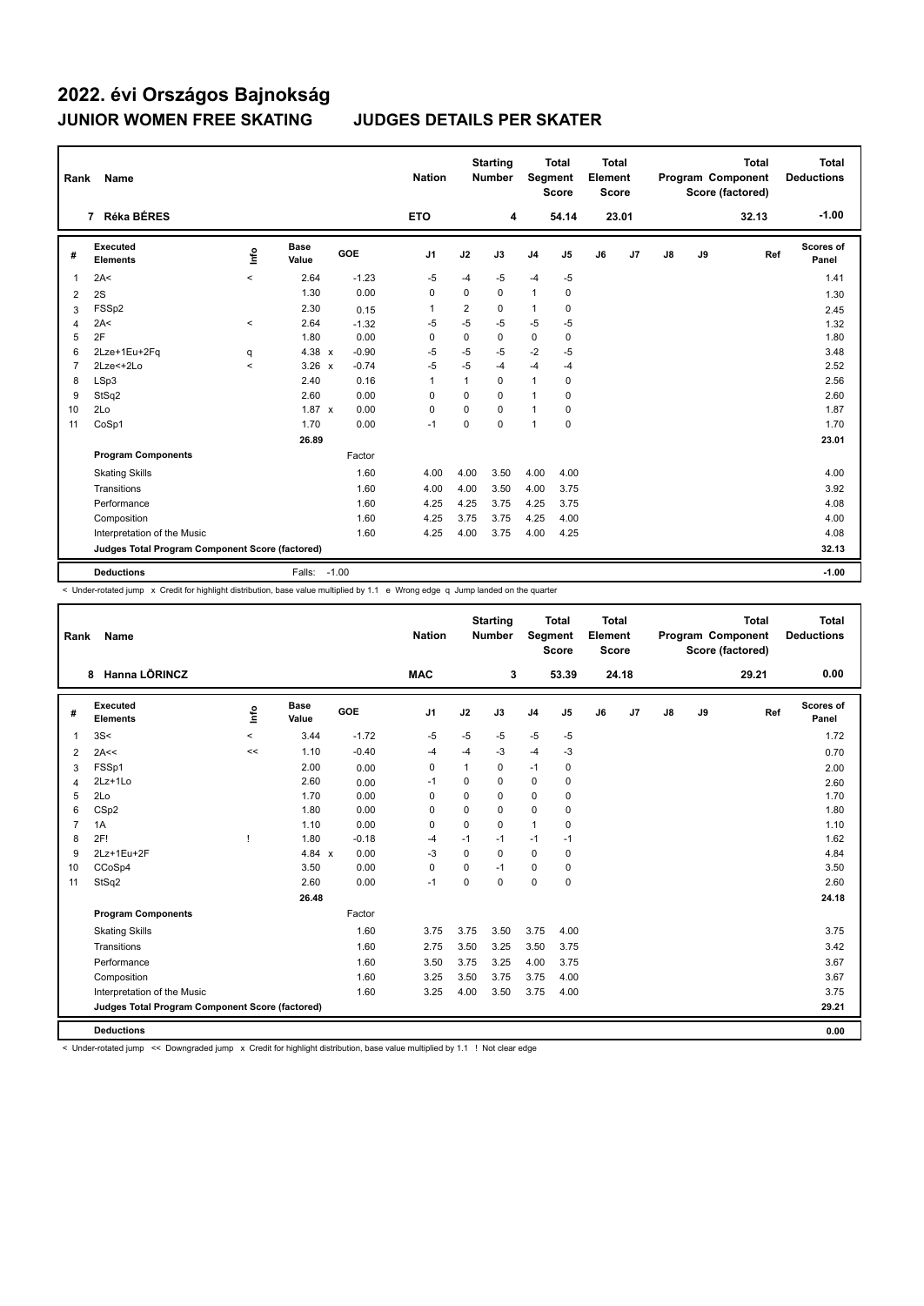| Rank           | Name                                            |         |                      |            | <b>Nation</b>  |          | <b>Starting</b><br><b>Number</b> | Segment        | Total<br><b>Score</b> | <b>Total</b><br>Element<br><b>Score</b> |                |               |    | <b>Total</b><br>Program Component<br>Score (factored) | <b>Total</b><br><b>Deductions</b> |
|----------------|-------------------------------------------------|---------|----------------------|------------|----------------|----------|----------------------------------|----------------|-----------------------|-----------------------------------------|----------------|---------------|----|-------------------------------------------------------|-----------------------------------|
|                | Réka BÉRES<br>$\overline{7}$                    |         |                      |            | <b>ETO</b>     |          | 4                                |                | 54.14                 |                                         | 23.01          |               |    | 32.13                                                 | $-1.00$                           |
| #              | Executed<br><b>Elements</b>                     | ١nf٥    | <b>Base</b><br>Value | <b>GOE</b> | J <sub>1</sub> | J2       | J3                               | J <sub>4</sub> | J5                    | J6                                      | J <sub>7</sub> | $\mathsf{J}8$ | J9 | Ref                                                   | Scores of<br>Panel                |
| 1              | 2A<                                             | $\prec$ | 2.64                 | $-1.23$    | -5             | $-4$     | $-5$                             | $-4$           | $-5$                  |                                         |                |               |    |                                                       | 1.41                              |
| 2              | 2S                                              |         | 1.30                 | 0.00       | $\Omega$       | $\Omega$ | $\Omega$                         | $\mathbf{1}$   | 0                     |                                         |                |               |    |                                                       | 1.30                              |
| 3              | FSS <sub>p2</sub>                               |         | 2.30                 | 0.15       | 1              | 2        | 0                                | 1              | 0                     |                                         |                |               |    |                                                       | 2.45                              |
| 4              | 2A<                                             | $\prec$ | 2.64                 | $-1.32$    | $-5$           | $-5$     | $-5$                             | $-5$           | $-5$                  |                                         |                |               |    |                                                       | 1.32                              |
| 5              | 2F                                              |         | 1.80                 | 0.00       | 0              | 0        | 0                                | $\mathbf 0$    | 0                     |                                         |                |               |    |                                                       | 1.80                              |
| 6              | 2Lze+1Eu+2Fq                                    | q       | $4.38 \times$        | $-0.90$    | $-5$           | $-5$     | $-5$                             | $-2$           | $-5$                  |                                         |                |               |    |                                                       | 3.48                              |
| $\overline{7}$ | 2Lze<+2Lo                                       | $\prec$ | $3.26 \times$        | $-0.74$    | $-5$           | $-5$     | $-4$                             | $-4$           | $-4$                  |                                         |                |               |    |                                                       | 2.52                              |
| 8              | LSp3                                            |         | 2.40                 | 0.16       | $\mathbf{1}$   | 1        | $\Omega$                         | $\mathbf{1}$   | 0                     |                                         |                |               |    |                                                       | 2.56                              |
| 9              | StSq2                                           |         | 2.60                 | 0.00       | 0              | 0        | $\Omega$                         | $\mathbf{1}$   | 0                     |                                         |                |               |    |                                                       | 2.60                              |
| 10             | 2Lo                                             |         | $1.87 \times$        | 0.00       | 0              | 0        | $\Omega$                         | $\mathbf{1}$   | 0                     |                                         |                |               |    |                                                       | 1.87                              |
| 11             | CoSp1                                           |         | 1.70                 | 0.00       | $-1$           | 0        | $\Omega$                         | 1              | $\mathbf 0$           |                                         |                |               |    |                                                       | 1.70                              |
|                |                                                 |         | 26.89                |            |                |          |                                  |                |                       |                                         |                |               |    |                                                       | 23.01                             |
|                | <b>Program Components</b>                       |         |                      | Factor     |                |          |                                  |                |                       |                                         |                |               |    |                                                       |                                   |
|                | <b>Skating Skills</b>                           |         |                      | 1.60       | 4.00           | 4.00     | 3.50                             | 4.00           | 4.00                  |                                         |                |               |    |                                                       | 4.00                              |
|                | Transitions                                     |         |                      | 1.60       | 4.00           | 4.00     | 3.50                             | 4.00           | 3.75                  |                                         |                |               |    |                                                       | 3.92                              |
|                | Performance                                     |         |                      | 1.60       | 4.25           | 4.25     | 3.75                             | 4.25           | 3.75                  |                                         |                |               |    |                                                       | 4.08                              |
|                | Composition                                     |         |                      | 1.60       | 4.25           | 3.75     | 3.75                             | 4.25           | 4.00                  |                                         |                |               |    |                                                       | 4.00                              |
|                | Interpretation of the Music                     |         |                      | 1.60       | 4.25           | 4.00     | 3.75                             | 4.00           | 4.25                  |                                         |                |               |    |                                                       | 4.08                              |
|                | Judges Total Program Component Score (factored) |         |                      |            |                |          |                                  |                |                       |                                         |                |               |    |                                                       | 32.13                             |
|                | <b>Deductions</b>                               |         | Falls: -1.00         |            |                |          |                                  |                |                       |                                         |                |               |    |                                                       | $-1.00$                           |

< Under-rotated jump x Credit for highlight distribution, base value multiplied by 1.1 e Wrong edge q Jump landed on the quarter

| Rank           | Name                                            |         |                      |            | <b>Nation</b>  |             | <b>Starting</b><br><b>Number</b> | <b>Segment</b> | <b>Total</b><br><b>Score</b> | <b>Total</b><br>Element<br>Score |       |               |    | <b>Total</b><br>Program Component<br>Score (factored) | <b>Total</b><br><b>Deductions</b> |
|----------------|-------------------------------------------------|---------|----------------------|------------|----------------|-------------|----------------------------------|----------------|------------------------------|----------------------------------|-------|---------------|----|-------------------------------------------------------|-----------------------------------|
|                | 8 Hanna LÕRINCZ                                 |         |                      |            | <b>MAC</b>     |             | 3                                |                | 53.39                        |                                  | 24.18 |               |    | 29.21                                                 | 0.00                              |
| #              | Executed<br><b>Elements</b>                     | lnfo    | <b>Base</b><br>Value | <b>GOE</b> | J <sub>1</sub> | J2          | J3                               | J <sub>4</sub> | J5                           | J6                               | J7    | $\mathsf{J}8$ | J9 | Ref                                                   | Scores of<br>Panel                |
| 1              | 3S<                                             | $\prec$ | 3.44                 | $-1.72$    | $-5$           | $-5$        | $-5$                             | $-5$           | $-5$                         |                                  |       |               |    |                                                       | 1.72                              |
| 2              | 2A<<                                            | <<      | 1.10                 | $-0.40$    | -4             | $-4$        | $-3$                             | $-4$           | -3                           |                                  |       |               |    |                                                       | 0.70                              |
| 3              | FSSp1                                           |         | 2.00                 | 0.00       | 0              | 1           | 0                                | $-1$           | 0                            |                                  |       |               |    |                                                       | 2.00                              |
| 4              | 2Lz+1Lo                                         |         | 2.60                 | 0.00       | -1             | $\mathbf 0$ | $\Omega$                         | $\Omega$       | 0                            |                                  |       |               |    |                                                       | 2.60                              |
| 5              | 2Lo                                             |         | 1.70                 | 0.00       | 0              | $\mathbf 0$ | 0                                | $\mathbf 0$    | $\mathbf 0$                  |                                  |       |               |    |                                                       | 1.70                              |
| 6              | CSp2                                            |         | 1.80                 | 0.00       | 0              | $\mathbf 0$ | 0                                | $\mathbf 0$    | 0                            |                                  |       |               |    |                                                       | 1.80                              |
| $\overline{7}$ | 1A                                              |         | 1.10                 | 0.00       | $\mathbf 0$    | $\mathbf 0$ | $\mathbf 0$                      | $\mathbf{1}$   | 0                            |                                  |       |               |    |                                                       | 1.10                              |
| 8              | 2F!                                             |         | 1.80                 | $-0.18$    | $-4$           | $-1$        | $-1$                             | $-1$           | $-1$                         |                                  |       |               |    |                                                       | 1.62                              |
| 9              | 2Lz+1Eu+2F                                      |         | 4.84 $x$             | 0.00       | -3             | 0           | 0                                | 0              | 0                            |                                  |       |               |    |                                                       | 4.84                              |
| 10             | CCoSp4                                          |         | 3.50                 | 0.00       | $\mathbf 0$    | 0           | $-1$                             | $\mathbf 0$    | $\mathbf 0$                  |                                  |       |               |    |                                                       | 3.50                              |
| 11             | StSq2                                           |         | 2.60                 | 0.00       | $-1$           | 0           | $\mathbf 0$                      | $\mathbf 0$    | $\mathbf 0$                  |                                  |       |               |    |                                                       | 2.60                              |
|                |                                                 |         | 26.48                |            |                |             |                                  |                |                              |                                  |       |               |    |                                                       | 24.18                             |
|                | <b>Program Components</b>                       |         |                      | Factor     |                |             |                                  |                |                              |                                  |       |               |    |                                                       |                                   |
|                | <b>Skating Skills</b>                           |         |                      | 1.60       | 3.75           | 3.75        | 3.50                             | 3.75           | 4.00                         |                                  |       |               |    |                                                       | 3.75                              |
|                | Transitions                                     |         |                      | 1.60       | 2.75           | 3.50        | 3.25                             | 3.50           | 3.75                         |                                  |       |               |    |                                                       | 3.42                              |
|                | Performance                                     |         |                      | 1.60       | 3.50           | 3.75        | 3.25                             | 4.00           | 3.75                         |                                  |       |               |    |                                                       | 3.67                              |
|                | Composition                                     |         |                      | 1.60       | 3.25           | 3.50        | 3.75                             | 3.75           | 4.00                         |                                  |       |               |    |                                                       | 3.67                              |
|                | Interpretation of the Music                     |         |                      | 1.60       | 3.25           | 4.00        | 3.50                             | 3.75           | 4.00                         |                                  |       |               |    |                                                       | 3.75                              |
|                | Judges Total Program Component Score (factored) |         |                      |            |                |             |                                  |                |                              |                                  |       |               |    |                                                       | 29.21                             |
|                | <b>Deductions</b>                               |         |                      |            |                |             |                                  |                |                              |                                  |       |               |    |                                                       | 0.00                              |

< Under-rotated jump << Downgraded jump x Credit for highlight distribution, base value multiplied by 1.1 ! Not clear edge